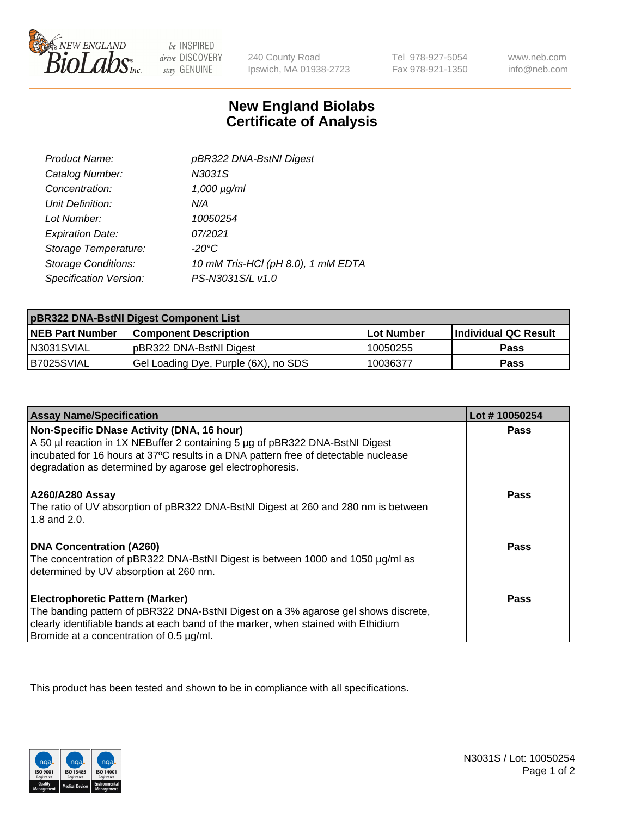

be INSPIRED drive DISCOVERY stay GENUINE

240 County Road Ipswich, MA 01938-2723 Tel 978-927-5054 Fax 978-921-1350

www.neb.com info@neb.com

## **New England Biolabs Certificate of Analysis**

| Product Name:              | pBR322 DNA-BstNI Digest            |
|----------------------------|------------------------------------|
| Catalog Number:            | N3031S                             |
| Concentration:             | $1,000 \mu g/ml$                   |
| Unit Definition:           | N/A                                |
| Lot Number:                | 10050254                           |
| <b>Expiration Date:</b>    | 07/2021                            |
| Storage Temperature:       | $-20^{\circ}$ C                    |
| <b>Storage Conditions:</b> | 10 mM Tris-HCl (pH 8.0), 1 mM EDTA |
| Specification Version:     | PS-N3031S/L v1.0                   |

| pBR322 DNA-BstNI Digest Component List |                                      |            |                      |  |
|----------------------------------------|--------------------------------------|------------|----------------------|--|
| <b>NEB Part Number</b>                 | <b>Component Description</b>         | Lot Number | Individual QC Result |  |
| N3031SVIAL                             | pBR322 DNA-BstNI Digest              | 10050255   | <b>Pass</b>          |  |
| B7025SVIAL                             | Gel Loading Dye, Purple (6X), no SDS | 10036377   | <b>Pass</b>          |  |

| <b>Assay Name/Specification</b>                                                                                                                                                                                                                                                | Lot #10050254 |
|--------------------------------------------------------------------------------------------------------------------------------------------------------------------------------------------------------------------------------------------------------------------------------|---------------|
| Non-Specific DNase Activity (DNA, 16 hour)<br>A 50 µl reaction in 1X NEBuffer 2 containing 5 µg of pBR322 DNA-BstNI Digest<br>incubated for 16 hours at 37°C results in a DNA pattern free of detectable nuclease<br>degradation as determined by agarose gel electrophoresis. | <b>Pass</b>   |
| A260/A280 Assay<br>The ratio of UV absorption of pBR322 DNA-BstNI Digest at 260 and 280 nm is between<br>1.8 and $2.0$ .                                                                                                                                                       | <b>Pass</b>   |
| <b>DNA Concentration (A260)</b><br>The concentration of pBR322 DNA-BstNI Digest is between 1000 and 1050 µg/ml as<br>determined by UV absorption at 260 nm.                                                                                                                    | Pass          |
| <b>Electrophoretic Pattern (Marker)</b><br>The banding pattern of pBR322 DNA-BstNI Digest on a 3% agarose gel shows discrete,<br>clearly identifiable bands at each band of the marker, when stained with Ethidium<br>Bromide at a concentration of 0.5 µg/ml.                 | Pass          |

This product has been tested and shown to be in compliance with all specifications.